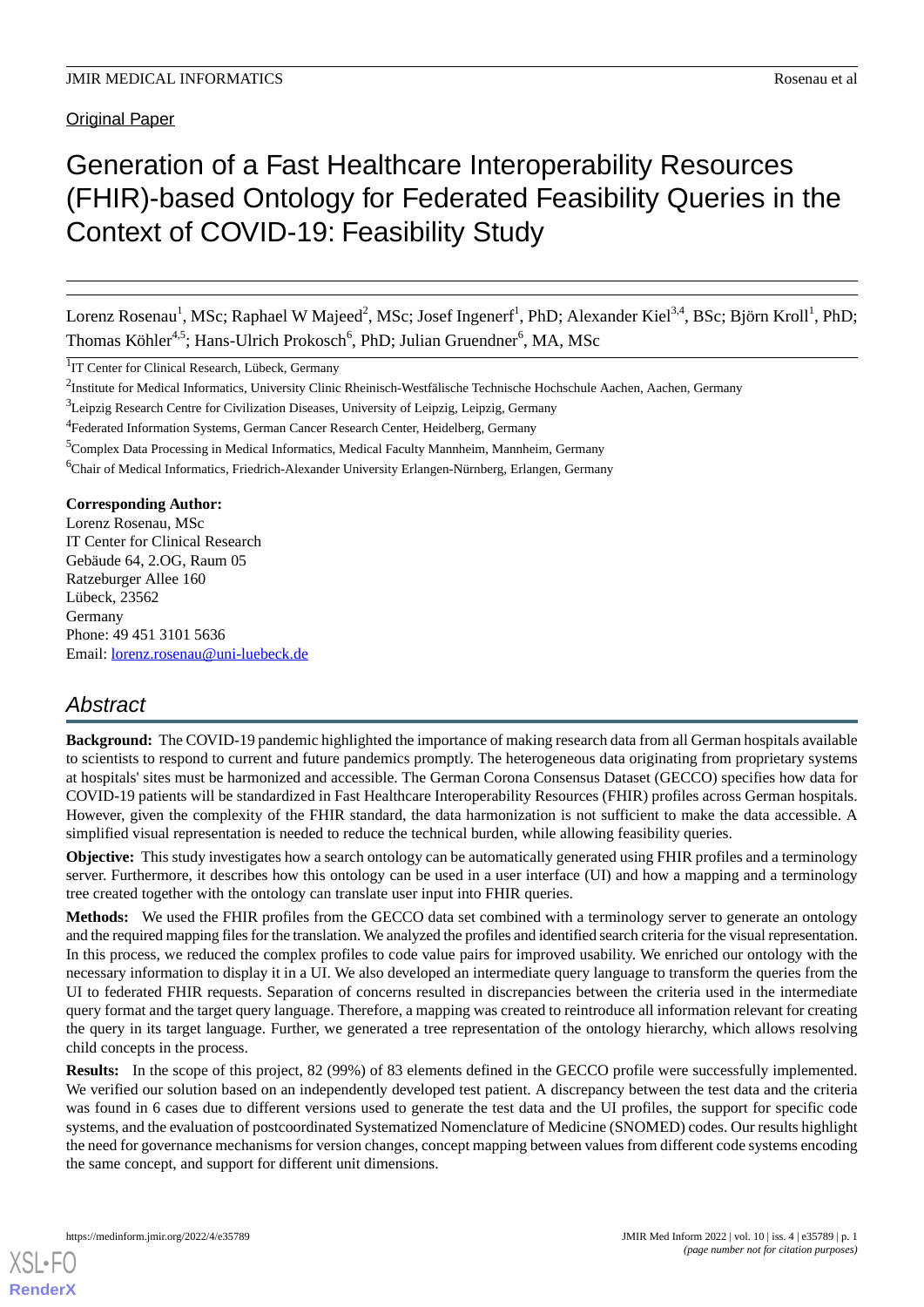Original Paper

# Generation of a Fast Healthcare Interoperability Resources (FHIR)-based Ontology for Federated Feasibility Queries in the Context of COVID-19: Feasibility Study

Lorenz Rosenau<sup>1</sup>, MSc; Raphael W Majeed<sup>2</sup>, MSc; Josef Ingenerf<sup>1</sup>, PhD; Alexander Kiel<sup>3,4</sup>, BSc; Björn Kroll<sup>1</sup>, PhD; Thomas Köhler<sup>4,5</sup>; Hans-Ulrich Prokosch<sup>6</sup>, PhD; Julian Gruendner<sup>6</sup>, MA, MSc

<sup>1</sup>IT Center for Clinical Research, Lübeck, Germany

<sup>3</sup>Leipzig Research Centre for Civilization Diseases, University of Leipzig, Leipzig, Germany

<sup>4</sup> Federated Information Systems, German Cancer Research Center, Heidelberg, Germany

<sup>5</sup>Complex Data Processing in Medical Informatics, Medical Faculty Mannheim, Mannheim, Germany

<sup>6</sup>Chair of Medical Informatics, Friedrich-Alexander University Erlangen-Nürnberg, Erlangen, Germany

#### **Corresponding Author:**

Lorenz Rosenau, MSc IT Center for Clinical Research Gebäude 64, 2.OG, Raum 05 Ratzeburger Allee 160 Lübeck, 23562 Germany Phone: 49 451 3101 5636 Email: [lorenz.rosenau@uni-luebeck.de](mailto:lorenz.rosenau@uni-luebeck.de)

# *Abstract*

**Background:** The COVID-19 pandemic highlighted the importance of making research data from all German hospitals available to scientists to respond to current and future pandemics promptly. The heterogeneous data originating from proprietary systems at hospitals' sites must be harmonized and accessible. The German Corona Consensus Dataset (GECCO) specifies how data for COVID-19 patients will be standardized in Fast Healthcare Interoperability Resources (FHIR) profiles across German hospitals. However, given the complexity of the FHIR standard, the data harmonization is not sufficient to make the data accessible. A simplified visual representation is needed to reduce the technical burden, while allowing feasibility queries.

**Objective:** This study investigates how a search ontology can be automatically generated using FHIR profiles and a terminology server. Furthermore, it describes how this ontology can be used in a user interface (UI) and how a mapping and a terminology tree created together with the ontology can translate user input into FHIR queries.

**Methods:** We used the FHIR profiles from the GECCO data set combined with a terminology server to generate an ontology and the required mapping files for the translation. We analyzed the profiles and identified search criteria for the visual representation. In this process, we reduced the complex profiles to code value pairs for improved usability. We enriched our ontology with the necessary information to display it in a UI. We also developed an intermediate query language to transform the queries from the UI to federated FHIR requests. Separation of concerns resulted in discrepancies between the criteria used in the intermediate query format and the target query language. Therefore, a mapping was created to reintroduce all information relevant for creating the query in its target language. Further, we generated a tree representation of the ontology hierarchy, which allows resolving child concepts in the process.

**Results:** In the scope of this project, 82 (99%) of 83 elements defined in the GECCO profile were successfully implemented. We verified our solution based on an independently developed test patient. A discrepancy between the test data and the criteria was found in 6 cases due to different versions used to generate the test data and the UI profiles, the support for specific code systems, and the evaluation of postcoordinated Systematized Nomenclature of Medicine (SNOMED) codes. Our results highlight the need for governance mechanisms for version changes, concept mapping between values from different code systems encoding the same concept, and support for different unit dimensions.

<sup>&</sup>lt;sup>2</sup>Institute for Medical Informatics, University Clinic Rheinisch-Westfälische Technische Hochschule Aachen, Aachen, Germany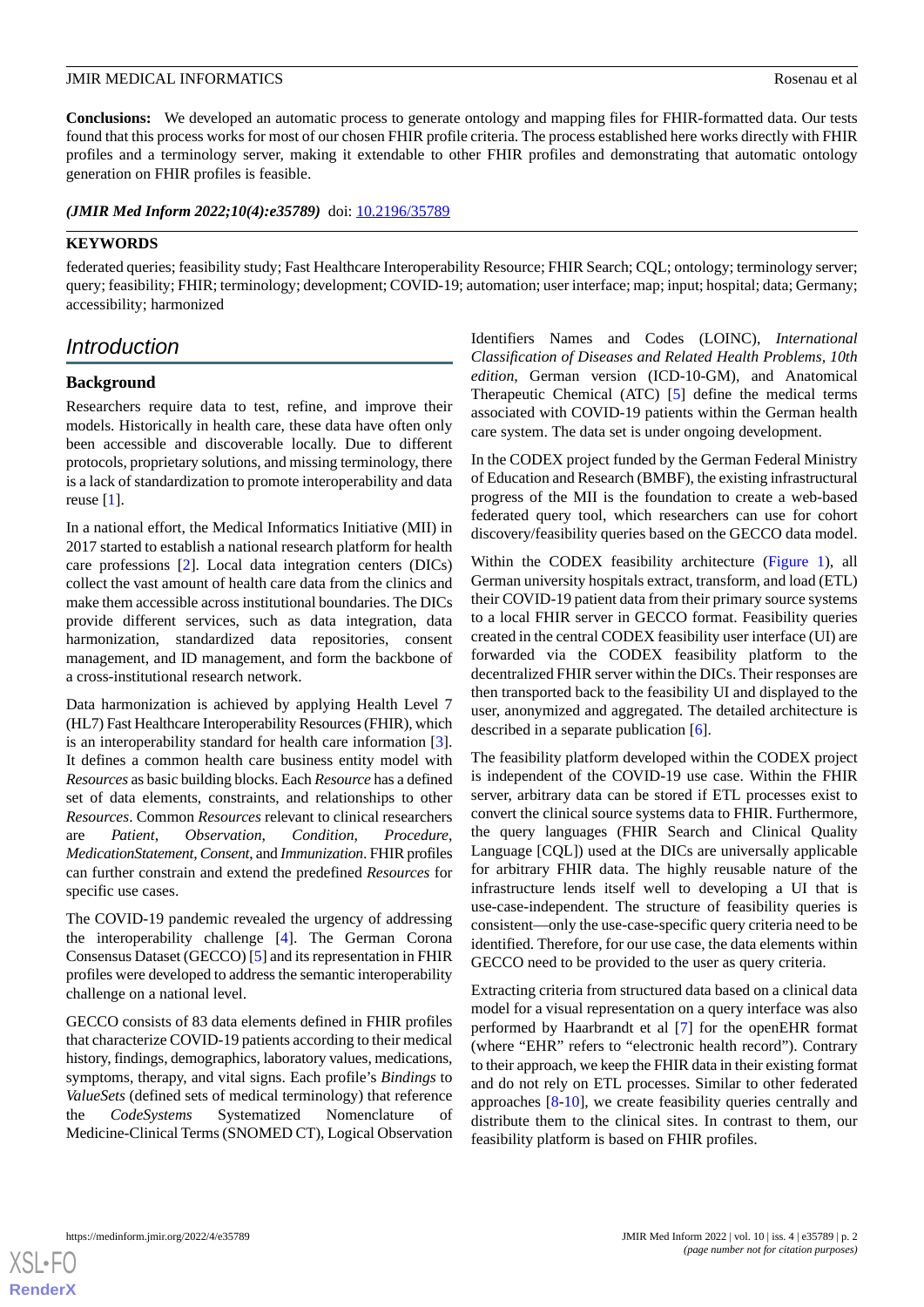**Conclusions:** We developed an automatic process to generate ontology and mapping files for FHIR-formatted data. Our tests found that this process works for most of our chosen FHIR profile criteria. The process established here works directly with FHIR profiles and a terminology server, making it extendable to other FHIR profiles and demonstrating that automatic ontology generation on FHIR profiles is feasible.

(JMIR Med Inform 2022;10(4):e35789) doi: [10.2196/35789](http://dx.doi.org/10.2196/35789)

# **KEYWORDS**

federated queries; feasibility study; Fast Healthcare Interoperability Resource; FHIR Search; CQL; ontology; terminology server; query; feasibility; FHIR; terminology; development; COVID-19; automation; user interface; map; input; hospital; data; Germany; accessibility; harmonized

# *Introduction*

# **Background**

Researchers require data to test, refine, and improve their models. Historically in health care, these data have often only been accessible and discoverable locally. Due to different protocols, proprietary solutions, and missing terminology, there is a lack of standardization to promote interoperability and data reuse [\[1](#page-9-0)].

In a national effort, the Medical Informatics Initiative (MII) in 2017 started to establish a national research platform for health care professions [[2\]](#page-9-1). Local data integration centers (DICs) collect the vast amount of health care data from the clinics and make them accessible across institutional boundaries. The DICs provide different services, such as data integration, data harmonization, standardized data repositories, consent management, and ID management, and form the backbone of a cross-institutional research network.

Data harmonization is achieved by applying Health Level 7 (HL7) Fast Healthcare Interoperability Resources (FHIR), which is an interoperability standard for health care information [[3\]](#page-9-2). It defines a common health care business entity model with *Resources* as basic building blocks. Each *Resource* has a defined set of data elements, constraints, and relationships to other *Resources*. Common *Resources* relevant to clinical researchers are *Patient*, *Observation*, *Condition*, *Procedure*, *MedicationStatement*, *Consent*, and *Immunization*. FHIR profiles can further constrain and extend the predefined *Resources* for specific use cases.

The COVID-19 pandemic revealed the urgency of addressing the interoperability challenge [[4\]](#page-9-3). The German Corona Consensus Dataset (GECCO) [[5\]](#page-9-4) and its representation in FHIR profiles were developed to address the semantic interoperability challenge on a national level.

GECCO consists of 83 data elements defined in FHIR profiles that characterize COVID-19 patients according to their medical history, findings, demographics, laboratory values, medications, symptoms, therapy, and vital signs. Each profile's *Bindings* to *ValueSets* (defined sets of medical terminology) that reference the *CodeSystems* Systematized Nomenclature of Medicine-Clinical Terms (SNOMED CT), Logical Observation

Identifiers Names and Codes (LOINC), *International Classification of Diseases and Related Health Problems, 10th edition*, German version (ICD-10-GM), and Anatomical Therapeutic Chemical (ATC) [[5\]](#page-9-4) define the medical terms associated with COVID-19 patients within the German health care system. The data set is under ongoing development.

In the CODEX project funded by the German Federal Ministry of Education and Research (BMBF), the existing infrastructural progress of the MII is the foundation to create a web-based federated query tool, which researchers can use for cohort discovery/feasibility queries based on the GECCO data model.

Within the CODEX feasibility architecture [\(Figure 1\)](#page-2-0), all German university hospitals extract, transform, and load (ETL) their COVID-19 patient data from their primary source systems to a local FHIR server in GECCO format. Feasibility queries created in the central CODEX feasibility user interface (UI) are forwarded via the CODEX feasibility platform to the decentralized FHIR server within the DICs. Their responses are then transported back to the feasibility UI and displayed to the user, anonymized and aggregated. The detailed architecture is described in a separate publication [[6\]](#page-9-5).

The feasibility platform developed within the CODEX project is independent of the COVID-19 use case. Within the FHIR server, arbitrary data can be stored if ETL processes exist to convert the clinical source systems data to FHIR. Furthermore, the query languages (FHIR Search and Clinical Quality Language [CQL]) used at the DICs are universally applicable for arbitrary FHIR data. The highly reusable nature of the infrastructure lends itself well to developing a UI that is use-case-independent. The structure of feasibility queries is consistent—only the use-case-specific query criteria need to be identified. Therefore, for our use case, the data elements within GECCO need to be provided to the user as query criteria.

Extracting criteria from structured data based on a clinical data model for a visual representation on a query interface was also performed by Haarbrandt et al [\[7](#page-9-6)] for the openEHR format (where "EHR" refers to "electronic health record"). Contrary to their approach, we keep the FHIR data in their existing format and do not rely on ETL processes. Similar to other federated approaches [\[8](#page-9-7)-[10\]](#page-9-8), we create feasibility queries centrally and distribute them to the clinical sites. In contrast to them, our feasibility platform is based on FHIR profiles.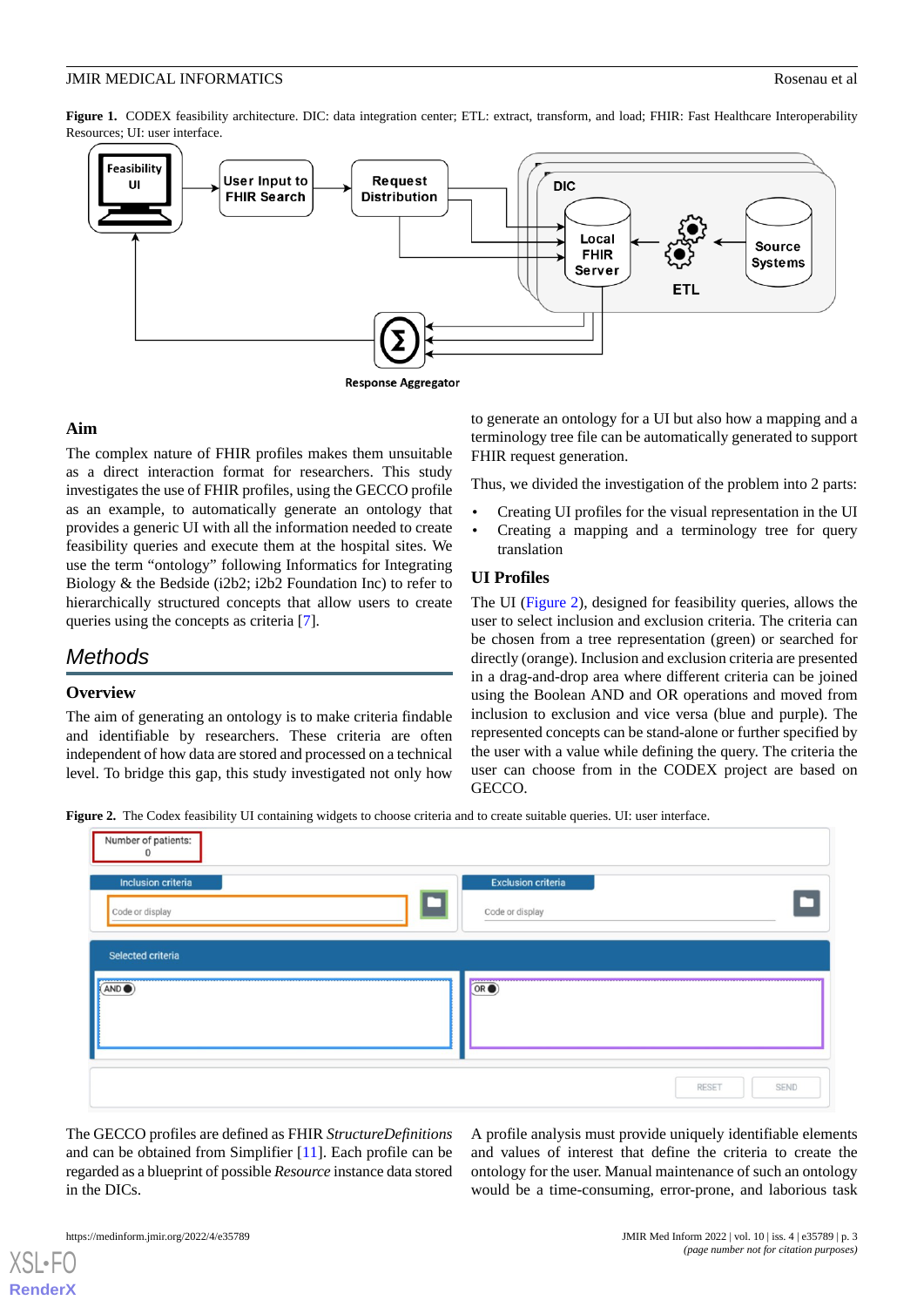#### **JMIR MEDICAL INFORMATICS** Rosenau et al.

<span id="page-2-0"></span>Figure 1. CODEX feasibility architecture. DIC: data integration center; ETL: extract, transform, and load; FHIR: Fast Healthcare Interoperability Resources; UI: user interface.



# **Aim**

The complex nature of FHIR profiles makes them unsuitable as a direct interaction format for researchers. This study investigates the use of FHIR profiles, using the GECCO profile as an example, to automatically generate an ontology that provides a generic UI with all the information needed to create feasibility queries and execute them at the hospital sites. We use the term "ontology" following Informatics for Integrating Biology & the Bedside (i2b2; i2b2 Foundation Inc) to refer to hierarchically structured concepts that allow users to create queries using the concepts as criteria [\[7](#page-9-6)].

# *Methods*

#### **Overview**

<span id="page-2-1"></span>The aim of generating an ontology is to make criteria findable and identifiable by researchers. These criteria are often independent of how data are stored and processed on a technical level. To bridge this gap, this study investigated not only how

to generate an ontology for a UI but also how a mapping and a terminology tree file can be automatically generated to support FHIR request generation.

Thus, we divided the investigation of the problem into 2 parts:

- Creating UI profiles for the visual representation in the UI
- Creating a mapping and a terminology tree for query translation

# **UI Profiles**

The UI ([Figure 2\)](#page-2-1), designed for feasibility queries, allows the user to select inclusion and exclusion criteria. The criteria can be chosen from a tree representation (green) or searched for directly (orange). Inclusion and exclusion criteria are presented in a drag-and-drop area where different criteria can be joined using the Boolean AND and OR operations and moved from inclusion to exclusion and vice versa (blue and purple). The represented concepts can be stand-alone or further specified by the user with a value while defining the query. The criteria the user can choose from in the CODEX project are based on GECCO.

**Figure 2.** The Codex feasibility UI containing widgets to choose criteria and to create suitable queries. UI: user interface.

| Number of patients:<br>$\mathsf D$                      |                                              |
|---------------------------------------------------------|----------------------------------------------|
| Inclusion criteria<br>Code or display                   | <b>Exclusion criteria</b><br>Code or display |
| Selected criteria<br>-----------<br>(AND <sub>•</sub> ) | ------------<br>OR <sub>o</sub>              |
|                                                         | SEND<br><b>RESET</b>                         |

The GECCO profiles are defined as FHIR *StructureDefinitions* and can be obtained from Simplifier [[11\]](#page-9-9). Each profile can be regarded as a blueprint of possible *Resource* instance data stored in the DICs.

A profile analysis must provide uniquely identifiable elements and values of interest that define the criteria to create the ontology for the user. Manual maintenance of such an ontology would be a time-consuming, error-prone, and laborious task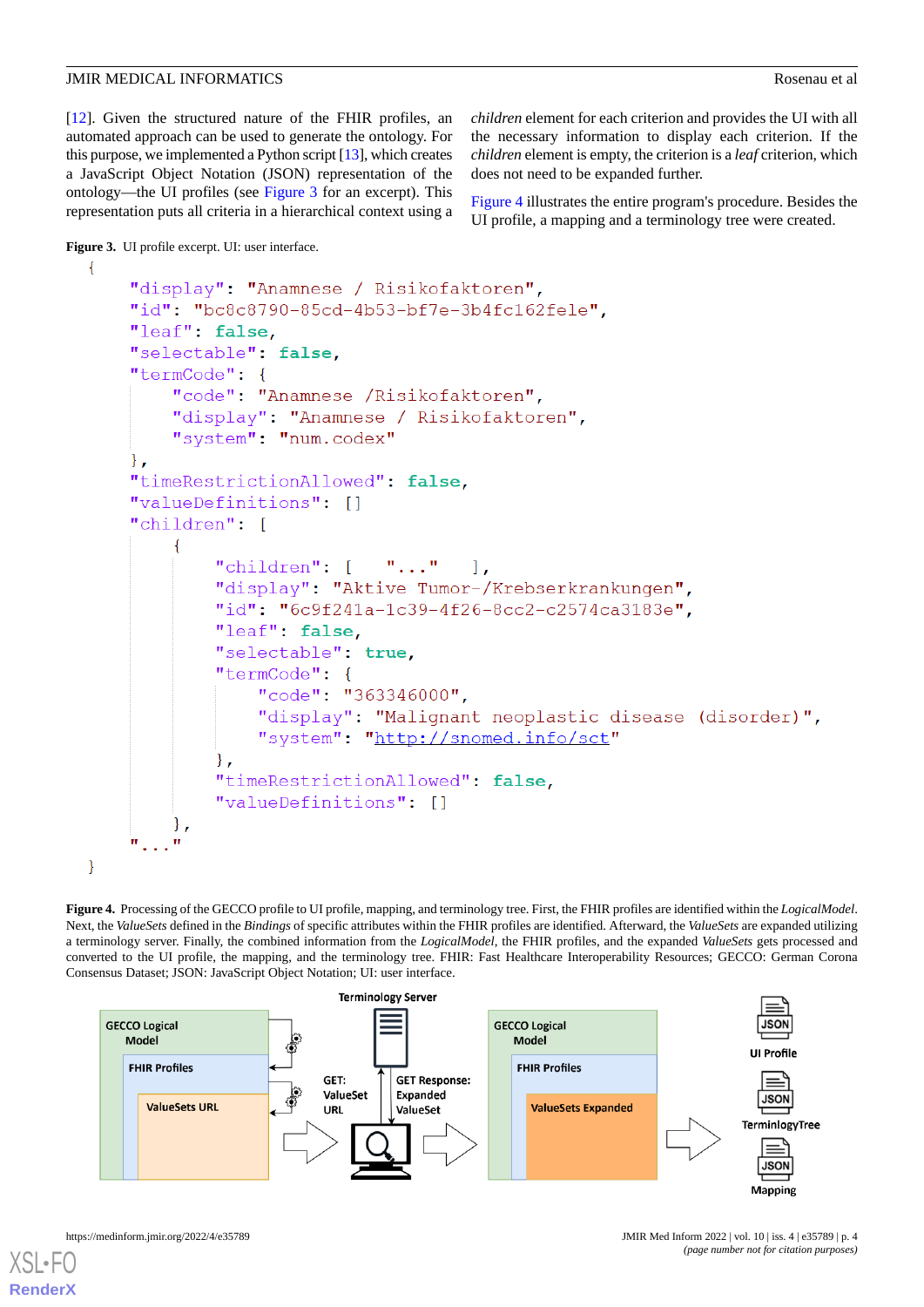[[12\]](#page-9-10). Given the structured nature of the FHIR profiles, an automated approach can be used to generate the ontology. For this purpose, we implemented a Python script [[13\]](#page-9-11), which creates a JavaScript Object Notation (JSON) representation of the ontology—the UI profiles (see [Figure 3](#page-3-0) for an excerpt). This representation puts all criteria in a hierarchical context using a *children* element for each criterion and provides the UI with all the necessary information to display each criterion. If the *children* element is empty, the criterion is a *leaf* criterion, which does not need to be expanded further.

[Figure 4](#page-3-1) illustrates the entire program's procedure. Besides the UI profile, a mapping and a terminology tree were created.

<span id="page-3-0"></span>Figure 3. UI profile excerpt. UI: user interface.

 $\overline{f}$ 

<span id="page-3-1"></span>₹

```
"display": "Anamnese / Risikofaktoren",
"id": "bc8c8790-85cd-4b53-bf7e-3b4fc162fele".
"leaf": false,
"selectable": false.
"termCode": {
    "code": "Anamnese /Risikofaktoren",
    "display": "Anamnese / Risikofaktoren",
    "system": "num.codex"
\},
"timeRestrictionAllowed": false,
"valueDefinitions": []
"children": [
    \{"children": [\quad "..." ],
        "display": "Aktive Tumor-/Krebserkrankungen",
        "id": "6c9f241a-1c39-4f26-8cc2-c2574ca3183e",
        "leaf": false,
        "selectable": true,
        "termCode": {
            "code": "363346000",
            "display": "Malignant neoplastic disease (disorder)",
            "system": "http://snomed.info/sct"
        \},
        "timeRestrictionAllowed": false,
        "valueDefinitions": []
    \},
```
**Figure 4.** Processing of the GECCO profile to UI profile, mapping, and terminology tree. First, the FHIR profiles are identified within the *LogicalModel*. Next, the *ValueSets* defined in the *Bindings* of specific attributes within the FHIR profiles are identified. Afterward, the *ValueSets* are expanded utilizing a terminology server. Finally, the combined information from the *LogicalModel*, the FHIR profiles, and the expanded *ValueSets* gets processed and converted to the UI profile, the mapping, and the terminology tree. FHIR: Fast Healthcare Interoperability Resources; GECCO: German Corona Consensus Dataset; JSON: JavaScript Object Notation; UI: user interface.

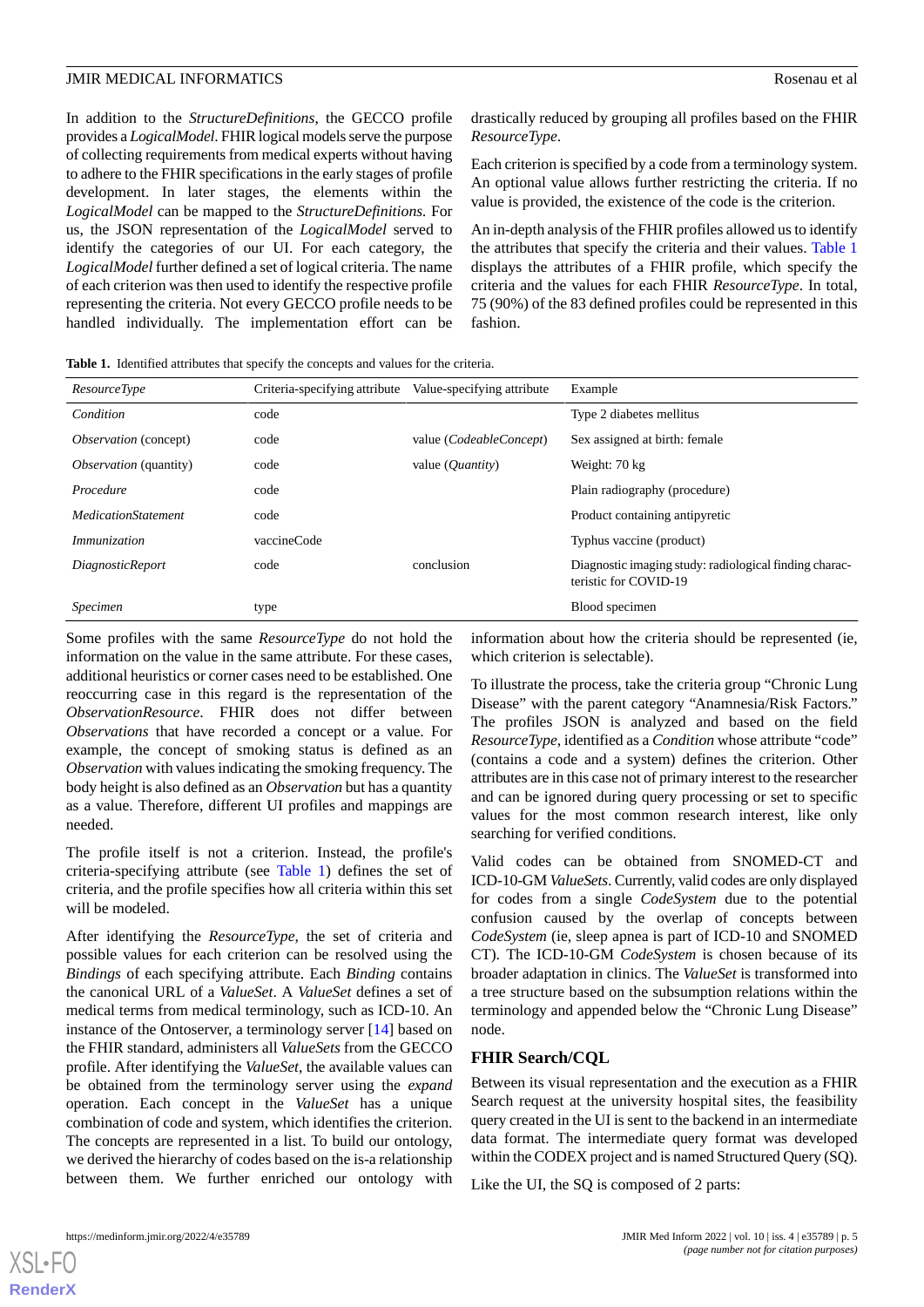In addition to the *StructureDefinitions*, the GECCO profile provides a *LogicalModel*. FHIR logical models serve the purpose of collecting requirements from medical experts without having to adhere to the FHIR specifications in the early stages of profile development. In later stages, the elements within the *LogicalModel* can be mapped to the *StructureDefinitions.* For us, the JSON representation of the *LogicalModel* served to identify the categories of our UI. For each category, the *LogicalModel* further defined a set of logical criteria. The name of each criterion was then used to identify the respective profile representing the criteria. Not every GECCO profile needs to be handled individually. The implementation effort can be drastically reduced by grouping all profiles based on the FHIR *ResourceType*.

Each criterion is specified by a code from a terminology system. An optional value allows further restricting the criteria. If no value is provided, the existence of the code is the criterion.

An in-depth analysis of the FHIR profiles allowed us to identify the attributes that specify the criteria and their values. [Table 1](#page-4-0) displays the attributes of a FHIR profile, which specify the criteria and the values for each FHIR *ResourceType*. In total, 75 (90%) of the 83 defined profiles could be represented in this fashion.

<span id="page-4-0"></span>**Table 1.** Identified attributes that specify the concepts and values for the criteria.

| <i>ResourceType</i>           | Criteria-specifying attribute | Value-specifying attribute | Example                                                                         |
|-------------------------------|-------------------------------|----------------------------|---------------------------------------------------------------------------------|
| Condition                     | code                          |                            | Type 2 diabetes mellitus                                                        |
| <i>Observation</i> (concept)  | code                          | value (CodeableConcept)    | Sex assigned at birth: female                                                   |
| <i>Observation</i> (quantity) | code                          | value ( <i>Quantity</i> )  | Weight: 70 kg                                                                   |
| Procedure                     | code                          |                            | Plain radiography (procedure)                                                   |
| <b>MedicationStatement</b>    | code                          |                            | Product containing antipyretic                                                  |
| <i>Immunization</i>           | vaccineCode                   |                            | Typhus vaccine (product)                                                        |
| <i>DiagnosticReport</i>       | code                          | conclusion                 | Diagnostic imaging study: radiological finding charac-<br>teristic for COVID-19 |
| Specimen                      | type                          |                            | Blood specimen                                                                  |

Some profiles with the same *ResourceType* do not hold the information on the value in the same attribute. For these cases, additional heuristics or corner cases need to be established. One reoccurring case in this regard is the representation of the *ObservationResource*. FHIR does not differ between *Observations* that have recorded a concept or a value. For example, the concept of smoking status is defined as an *Observation* with values indicating the smoking frequency. The body height is also defined as an *Observation* but has a quantity as a value. Therefore, different UI profiles and mappings are needed.

The profile itself is not a criterion. Instead, the profile's criteria-specifying attribute (see [Table 1\)](#page-4-0) defines the set of criteria, and the profile specifies how all criteria within this set will be modeled.

After identifying the *ResourceType,* the set of criteria and possible values for each criterion can be resolved using the *Bindings* of each specifying attribute. Each *Binding* contains the canonical URL of a *ValueSet*. A *ValueSet* defines a set of medical terms from medical terminology, such as ICD-10. An instance of the Ontoserver, a terminology server [[14\]](#page-9-12) based on the FHIR standard, administers all *ValueSets* from the GECCO profile. After identifying the *ValueSet*, the available values can be obtained from the terminology server using the *expand* operation. Each concept in the *ValueSet* has a unique combination of code and system, which identifies the criterion. The concepts are represented in a list. To build our ontology, we derived the hierarchy of codes based on the is-a relationship between them. We further enriched our ontology with

information about how the criteria should be represented (ie, which criterion is selectable).

To illustrate the process, take the criteria group "Chronic Lung Disease" with the parent category "Anamnesia/Risk Factors." The profiles JSON is analyzed and based on the field *ResourceType*, identified as a *Condition* whose attribute "code" (contains a code and a system) defines the criterion. Other attributes are in this case not of primary interest to the researcher and can be ignored during query processing or set to specific values for the most common research interest, like only searching for verified conditions.

Valid codes can be obtained from SNOMED-CT and ICD-10-GM *ValueSets*. Currently, valid codes are only displayed for codes from a single *CodeSystem* due to the potential confusion caused by the overlap of concepts between *CodeSystem* (ie, sleep apnea is part of ICD-10 and SNOMED CT). The ICD-10-GM *CodeSystem* is chosen because of its broader adaptation in clinics. The *ValueSet* is transformed into a tree structure based on the subsumption relations within the terminology and appended below the "Chronic Lung Disease" node.

# **FHIR Search/CQL**

Between its visual representation and the execution as a FHIR Search request at the university hospital sites, the feasibility query created in the UI is sent to the backend in an intermediate data format. The intermediate query format was developed within the CODEX project and is named Structured Query (SQ).

Like the UI, the SQ is composed of 2 parts: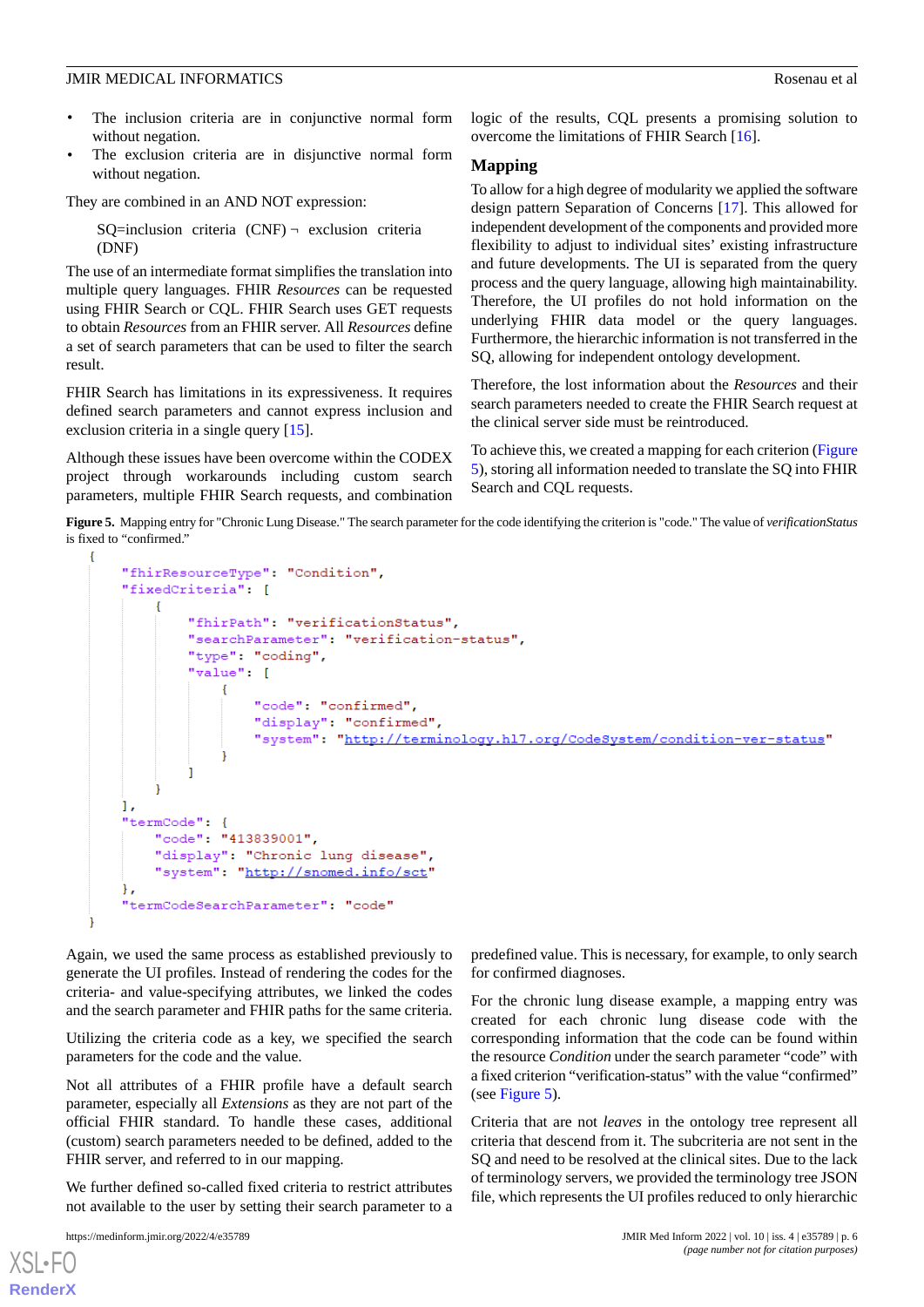- The inclusion criteria are in conjunctive normal form without negation.
- The exclusion criteria are in disjunctive normal form without negation.

They are combined in an AND NOT expression:

 $SQ=$ inclusion criteria  $(CNF)$   $\neg$  exclusion criteria (DNF)

The use of an intermediate format simplifies the translation into multiple query languages. FHIR *Resources* can be requested using FHIR Search or CQL. FHIR Search uses GET requests to obtain *Resources* from an FHIR server. All *Resources* define a set of search parameters that can be used to filter the search result.

FHIR Search has limitations in its expressiveness. It requires defined search parameters and cannot express inclusion and exclusion criteria in a single query [\[15](#page-9-13)].

<span id="page-5-0"></span>Although these issues have been overcome within the CODEX project through workarounds including custom search parameters, multiple FHIR Search requests, and combination

logic of the results, CQL presents a promising solution to overcome the limitations of FHIR Search [\[16](#page-9-14)].

#### **Mapping**

To allow for a high degree of modularity we applied the software design pattern Separation of Concerns [\[17](#page-9-15)]. This allowed for independent development of the components and provided more flexibility to adjust to individual sites' existing infrastructure and future developments. The UI is separated from the query process and the query language, allowing high maintainability. Therefore, the UI profiles do not hold information on the underlying FHIR data model or the query languages. Furthermore, the hierarchic information is not transferred in the SQ, allowing for independent ontology development.

Therefore, the lost information about the *Resources* and their search parameters needed to create the FHIR Search request at the clinical server side must be reintroduced.

To achieve this, we created a mapping for each criterion ([Figure](#page-5-0) [5\)](#page-5-0), storing all information needed to translate the SQ into FHIR Search and COL requests.

**Figure 5.** Mapping entry for "Chronic Lung Disease." The search parameter for the code identifying the criterion is "code." The value of *verificationStatus* is fixed to "confirmed."

```
ł
    "fhirResourceType": "Condition",
    "fixedCriteria": [
        \overline{f}"fhirPath": "verificationStatus",
             "searchParameter": "verification-status",
             "type": "coding",
             "value": [
                 €
                      "code": "confirmed",
                      "display": "confirmed",
                      "system": "http://terminology.hl7.org/CodeSystem/condition-ver-status"
             I
        l,
    \mathbf{1},
    "termCode": {
        "code": "413839001",
         "display": "Chronic lung disease",
         "system": "http://snomed.info/sct"
    Ι.
    "termCodeSearchParameter": "code"
J.
```
Again, we used the same process as established previously to generate the UI profiles. Instead of rendering the codes for the criteria- and value-specifying attributes, we linked the codes and the search parameter and FHIR paths for the same criteria.

Utilizing the criteria code as a key, we specified the search parameters for the code and the value.

Not all attributes of a FHIR profile have a default search parameter, especially all *Extensions* as they are not part of the official FHIR standard. To handle these cases, additional (custom) search parameters needed to be defined, added to the FHIR server, and referred to in our mapping.

We further defined so-called fixed criteria to restrict attributes not available to the user by setting their search parameter to a

 $X$ SL•FC **[RenderX](http://www.renderx.com/)** predefined value. This is necessary, for example, to only search for confirmed diagnoses.

For the chronic lung disease example, a mapping entry was created for each chronic lung disease code with the corresponding information that the code can be found within the resource *Condition* under the search parameter "code" with a fixed criterion "verification-status" with the value "confirmed" (see [Figure 5\)](#page-5-0).

Criteria that are not *leaves* in the ontology tree represent all criteria that descend from it. The subcriteria are not sent in the SQ and need to be resolved at the clinical sites. Due to the lack of terminology servers, we provided the terminology tree JSON file, which represents the UI profiles reduced to only hierarchic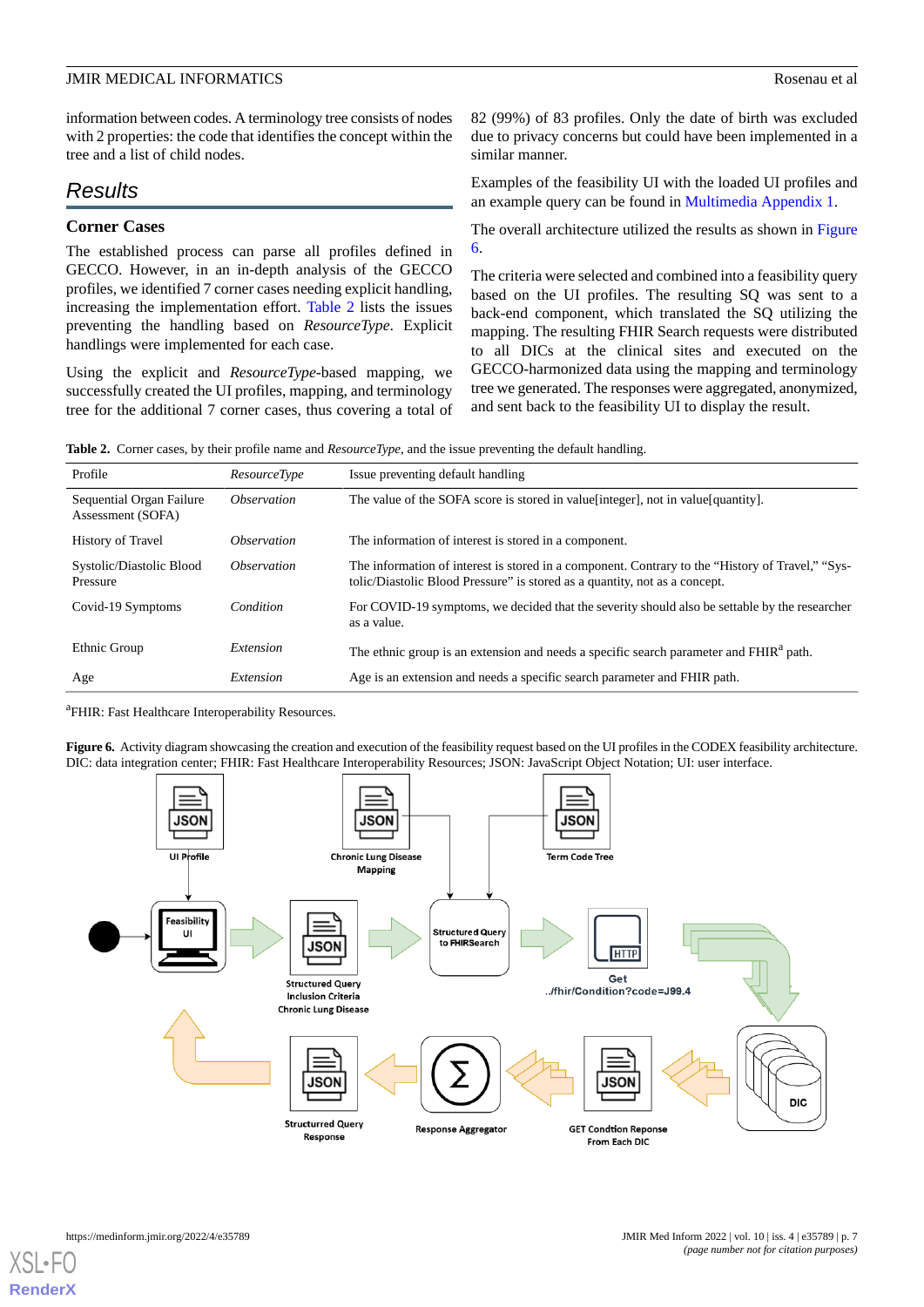information between codes. A terminology tree consists of nodes with 2 properties: the code that identifies the concept within the tree and a list of child nodes.

# *Results*

#### **Corner Cases**

The established process can parse all profiles defined in GECCO. However, in an in-depth analysis of the GECCO profiles, we identified 7 corner cases needing explicit handling, increasing the implementation effort. [Table 2](#page-6-0) lists the issues preventing the handling based on *ResourceType*. Explicit handlings were implemented for each case.

<span id="page-6-0"></span>Using the explicit and *ResourceType*-based mapping, we successfully created the UI profiles, mapping, and terminology tree for the additional 7 corner cases, thus covering a total of 82 (99%) of 83 profiles. Only the date of birth was excluded due to privacy concerns but could have been implemented in a similar manner.

Examples of the feasibility UI with the loaded UI profiles and an example query can be found in [Multimedia Appendix 1.](#page-9-16)

The overall architecture utilized the results as shown in [Figure](#page-6-1) [6.](#page-6-1)

The criteria were selected and combined into a feasibility query based on the UI profiles. The resulting SQ was sent to a back-end component, which translated the SQ utilizing the mapping. The resulting FHIR Search requests were distributed to all DICs at the clinical sites and executed on the GECCO-harmonized data using the mapping and terminology tree we generated. The responses were aggregated, anonymized, and sent back to the feasibility UI to display the result.

**Table 2.** Corner cases, by their profile name and *ResourceType*, and the issue preventing the default handling.

| Profile                                       | <i>ResourceType</i>       | Issue preventing default handling                                                                                                                                              |
|-----------------------------------------------|---------------------------|--------------------------------------------------------------------------------------------------------------------------------------------------------------------------------|
| Sequential Organ Failure<br>Assessment (SOFA) | <i><b>Observation</b></i> | The value of the SOFA score is stored in value [integer], not in value [quantity].                                                                                             |
| History of Travel                             | <i><b>Observation</b></i> | The information of interest is stored in a component.                                                                                                                          |
| Systolic/Diastolic Blood<br>Pressure          | <i><b>Observation</b></i> | The information of interest is stored in a component. Contrary to the "History of Travel," "Sys-<br>tolic/Diastolic Blood Pressure" is stored as a quantity, not as a concept. |
| Covid-19 Symptoms                             | Condition                 | For COVID-19 symptoms, we decided that the severity should also be settable by the researcher<br>as a value.                                                                   |
| Ethnic Group                                  | Extension                 | The ethnic group is an extension and needs a specific search parameter and FHIR <sup>a</sup> path.                                                                             |
| Age                                           | Extension                 | Age is an extension and needs a specific search parameter and FHIR path.                                                                                                       |

<span id="page-6-1"></span><sup>a</sup>FHIR: Fast Healthcare Interoperability Resources.

Figure 6. Activity diagram showcasing the creation and execution of the feasibility request based on the UI profiles in the CODEX feasibility architecture. DIC: data integration center; FHIR: Fast Healthcare Interoperability Resources; JSON: JavaScript Object Notation; UI: user interface.

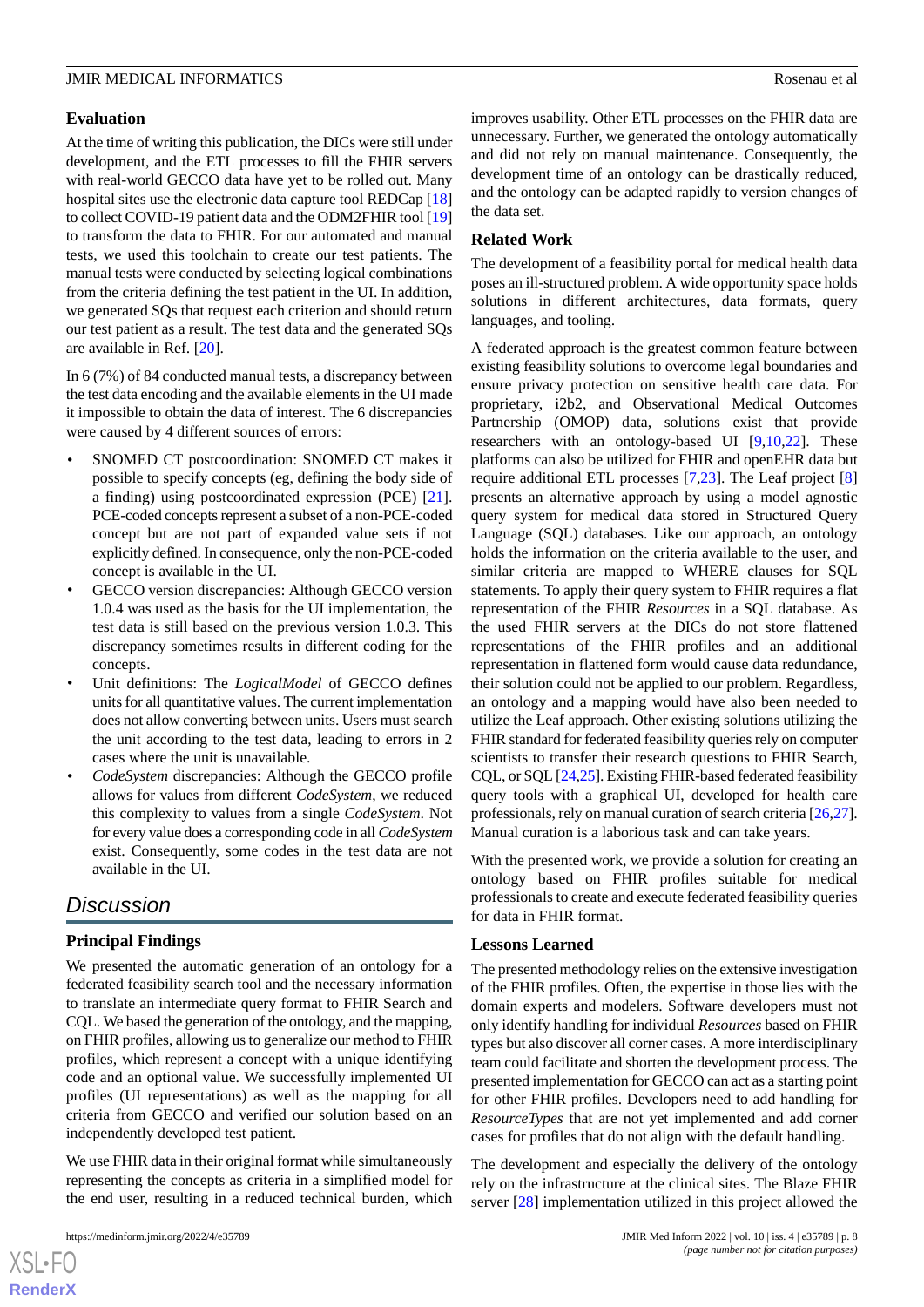# **Evaluation**

At the time of writing this publication, the DICs were still under development, and the ETL processes to fill the FHIR servers with real-world GECCO data have yet to be rolled out. Many hospital sites use the electronic data capture tool REDCap [\[18](#page-9-17)] to collect COVID-19 patient data and the ODM2FHIR tool [\[19](#page-9-18)] to transform the data to FHIR. For our automated and manual tests, we used this toolchain to create our test patients. The manual tests were conducted by selecting logical combinations from the criteria defining the test patient in the UI. In addition, we generated SQs that request each criterion and should return our test patient as a result. The test data and the generated SQs are available in Ref. [\[20](#page-9-19)].

In 6 (7%) of 84 conducted manual tests, a discrepancy between the test data encoding and the available elements in the UI made it impossible to obtain the data of interest. The 6 discrepancies were caused by 4 different sources of errors:

- SNOMED CT postcoordination: SNOMED CT makes it possible to specify concepts (eg, defining the body side of a finding) using postcoordinated expression (PCE) [[21\]](#page-9-20). PCE-coded concepts represent a subset of a non-PCE-coded concept but are not part of expanded value sets if not explicitly defined. In consequence, only the non-PCE-coded concept is available in the UI.
- GECCO version discrepancies: Although GECCO version 1.0.4 was used as the basis for the UI implementation, the test data is still based on the previous version 1.0.3. This discrepancy sometimes results in different coding for the concepts.
- Unit definitions: The *LogicalModel* of GECCO defines units for all quantitative values. The current implementation does not allow converting between units. Users must search the unit according to the test data, leading to errors in 2 cases where the unit is unavailable.
- *CodeSystem* discrepancies: Although the GECCO profile allows for values from different *CodeSystem*, we reduced this complexity to values from a single *CodeSystem*. Not for every value does a corresponding code in all *CodeSystem* exist. Consequently, some codes in the test data are not available in the UI.

# *Discussion*

# **Principal Findings**

We presented the automatic generation of an ontology for a federated feasibility search tool and the necessary information to translate an intermediate query format to FHIR Search and CQL. We based the generation of the ontology, and the mapping, on FHIR profiles, allowing us to generalize our method to FHIR profiles, which represent a concept with a unique identifying code and an optional value. We successfully implemented UI profiles (UI representations) as well as the mapping for all criteria from GECCO and verified our solution based on an independently developed test patient.

We use FHIR data in their original format while simultaneously representing the concepts as criteria in a simplified model for the end user, resulting in a reduced technical burden, which

 $XS$  $\cdot$ FC **[RenderX](http://www.renderx.com/)** improves usability. Other ETL processes on the FHIR data are unnecessary. Further, we generated the ontology automatically and did not rely on manual maintenance. Consequently, the development time of an ontology can be drastically reduced, and the ontology can be adapted rapidly to version changes of the data set.

# **Related Work**

The development of a feasibility portal for medical health data poses an ill-structured problem. A wide opportunity space holds solutions in different architectures, data formats, query languages, and tooling.

A federated approach is the greatest common feature between existing feasibility solutions to overcome legal boundaries and ensure privacy protection on sensitive health care data. For proprietary, i2b2, and Observational Medical Outcomes Partnership (OMOP) data, solutions exist that provide researchers with an ontology-based UI [\[9](#page-9-21),[10,](#page-9-8)[22](#page-9-22)]. These platforms can also be utilized for FHIR and openEHR data but require additional ETL processes [\[7](#page-9-6),[23\]](#page-9-23). The Leaf project [\[8](#page-9-7)] presents an alternative approach by using a model agnostic query system for medical data stored in Structured Query Language (SQL) databases. Like our approach, an ontology holds the information on the criteria available to the user, and similar criteria are mapped to WHERE clauses for SQL statements. To apply their query system to FHIR requires a flat representation of the FHIR *Resources* in a SQL database. As the used FHIR servers at the DICs do not store flattened representations of the FHIR profiles and an additional representation in flattened form would cause data redundance, their solution could not be applied to our problem. Regardless, an ontology and a mapping would have also been needed to utilize the Leaf approach. Other existing solutions utilizing the FHIR standard for federated feasibility queries rely on computer scientists to transfer their research questions to FHIR Search, CQL, or SQL [[24](#page-9-24),[25\]](#page-10-0). Existing FHIR-based federated feasibility query tools with a graphical UI, developed for health care professionals, rely on manual curation of search criteria [[26,](#page-10-1)[27](#page-10-2)]. Manual curation is a laborious task and can take years.

With the presented work, we provide a solution for creating an ontology based on FHIR profiles suitable for medical professionals to create and execute federated feasibility queries for data in FHIR format.

#### **Lessons Learned**

The presented methodology relies on the extensive investigation of the FHIR profiles. Often, the expertise in those lies with the domain experts and modelers. Software developers must not only identify handling for individual *Resources* based on FHIR types but also discover all corner cases. A more interdisciplinary team could facilitate and shorten the development process. The presented implementation for GECCO can act as a starting point for other FHIR profiles. Developers need to add handling for *ResourceTypes* that are not yet implemented and add corner cases for profiles that do not align with the default handling.

The development and especially the delivery of the ontology rely on the infrastructure at the clinical sites. The Blaze FHIR server [[28\]](#page-10-3) implementation utilized in this project allowed the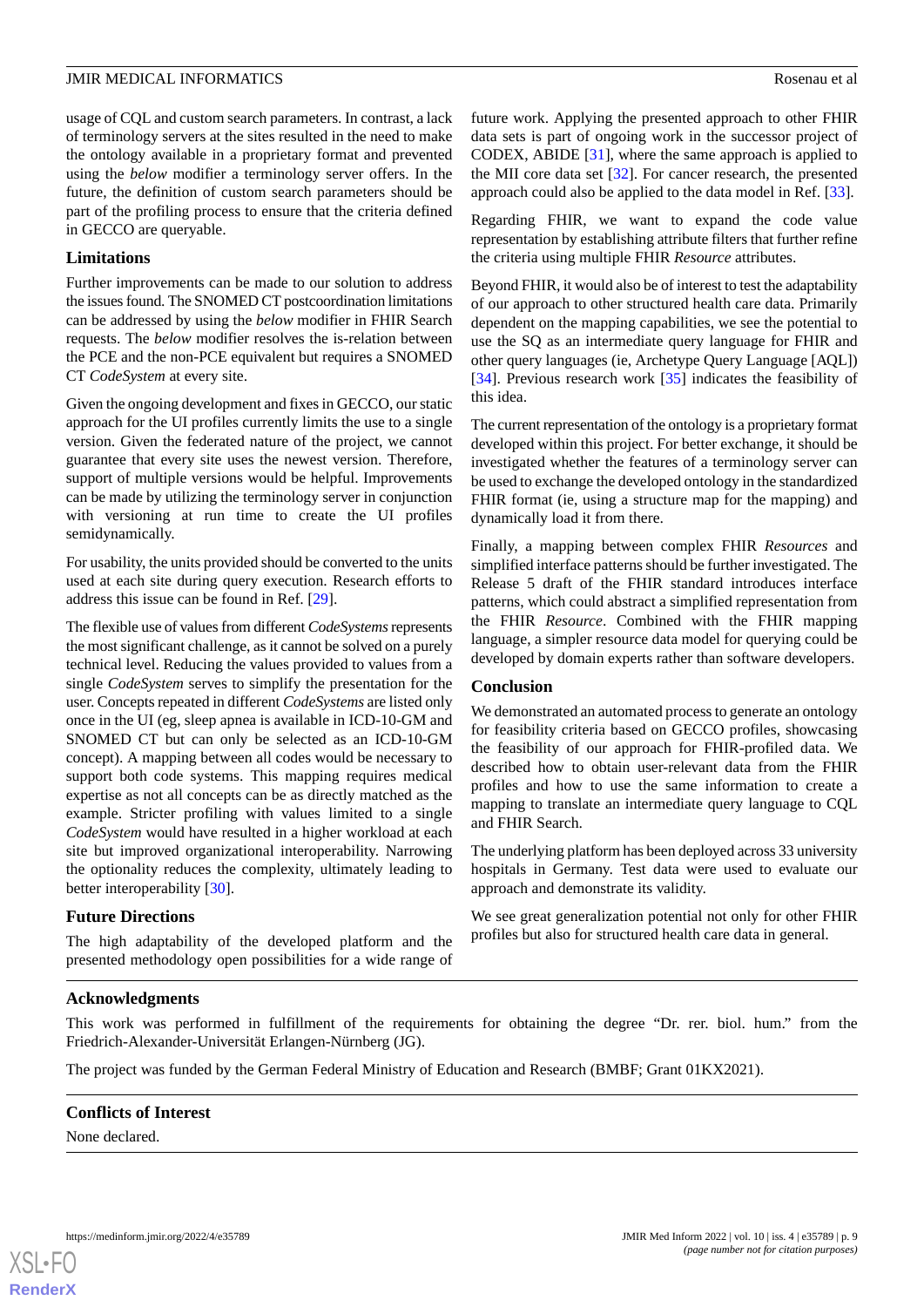usage of CQL and custom search parameters. In contrast, a lack of terminology servers at the sites resulted in the need to make the ontology available in a proprietary format and prevented using the *below* modifier a terminology server offers. In the future, the definition of custom search parameters should be part of the profiling process to ensure that the criteria defined in GECCO are queryable.

# **Limitations**

Further improvements can be made to our solution to address the issues found. The SNOMED CT postcoordination limitations can be addressed by using the *below* modifier in FHIR Search requests. The *below* modifier resolves the is-relation between the PCE and the non-PCE equivalent but requires a SNOMED CT *CodeSystem* at every site.

Given the ongoing development and fixes in GECCO, our static approach for the UI profiles currently limits the use to a single version. Given the federated nature of the project, we cannot guarantee that every site uses the newest version. Therefore, support of multiple versions would be helpful. Improvements can be made by utilizing the terminology server in conjunction with versioning at run time to create the UI profiles semidynamically.

For usability, the units provided should be converted to the units used at each site during query execution. Research efforts to address this issue can be found in Ref. [[29\]](#page-10-4).

The flexible use of values from different *CodeSystems*represents the most significant challenge, as it cannot be solved on a purely technical level. Reducing the values provided to values from a single *CodeSystem* serves to simplify the presentation for the user. Concepts repeated in different *CodeSystems* are listed only once in the UI (eg, sleep apnea is available in ICD-10-GM and SNOMED CT but can only be selected as an ICD-10-GM concept). A mapping between all codes would be necessary to support both code systems. This mapping requires medical expertise as not all concepts can be as directly matched as the example. Stricter profiling with values limited to a single *CodeSystem* would have resulted in a higher workload at each site but improved organizational interoperability. Narrowing the optionality reduces the complexity, ultimately leading to better interoperability [\[30](#page-10-5)].

#### **Future Directions**

The high adaptability of the developed platform and the presented methodology open possibilities for a wide range of future work. Applying the presented approach to other FHIR data sets is part of ongoing work in the successor project of CODEX, ABIDE [[31\]](#page-10-6), where the same approach is applied to the MII core data set [\[32](#page-10-7)]. For cancer research, the presented approach could also be applied to the data model in Ref. [[33\]](#page-10-8).

Regarding FHIR, we want to expand the code value representation by establishing attribute filters that further refine the criteria using multiple FHIR *Resource* attributes.

Beyond FHIR, it would also be of interest to test the adaptability of our approach to other structured health care data. Primarily dependent on the mapping capabilities, we see the potential to use the SQ as an intermediate query language for FHIR and other query languages (ie, Archetype Query Language [AQL]) [[34\]](#page-10-9). Previous research work [[35\]](#page-10-10) indicates the feasibility of this idea.

The current representation of the ontology is a proprietary format developed within this project. For better exchange, it should be investigated whether the features of a terminology server can be used to exchange the developed ontology in the standardized FHIR format (ie, using a structure map for the mapping) and dynamically load it from there.

Finally, a mapping between complex FHIR *Resources* and simplified interface patterns should be further investigated. The Release 5 draft of the FHIR standard introduces interface patterns, which could abstract a simplified representation from the FHIR *Resource*. Combined with the FHIR mapping language, a simpler resource data model for querying could be developed by domain experts rather than software developers.

#### **Conclusion**

We demonstrated an automated process to generate an ontology for feasibility criteria based on GECCO profiles, showcasing the feasibility of our approach for FHIR-profiled data. We described how to obtain user-relevant data from the FHIR profiles and how to use the same information to create a mapping to translate an intermediate query language to CQL and FHIR Search.

The underlying platform has been deployed across 33 university hospitals in Germany. Test data were used to evaluate our approach and demonstrate its validity.

We see great generalization potential not only for other FHIR profiles but also for structured health care data in general.

#### **Acknowledgments**

This work was performed in fulfillment of the requirements for obtaining the degree "Dr. rer. biol. hum." from the Friedrich-Alexander-Universität Erlangen-Nürnberg (JG).

The project was funded by the German Federal Ministry of Education and Research (BMBF; Grant 01KX2021).

#### **Conflicts of Interest**

None declared.

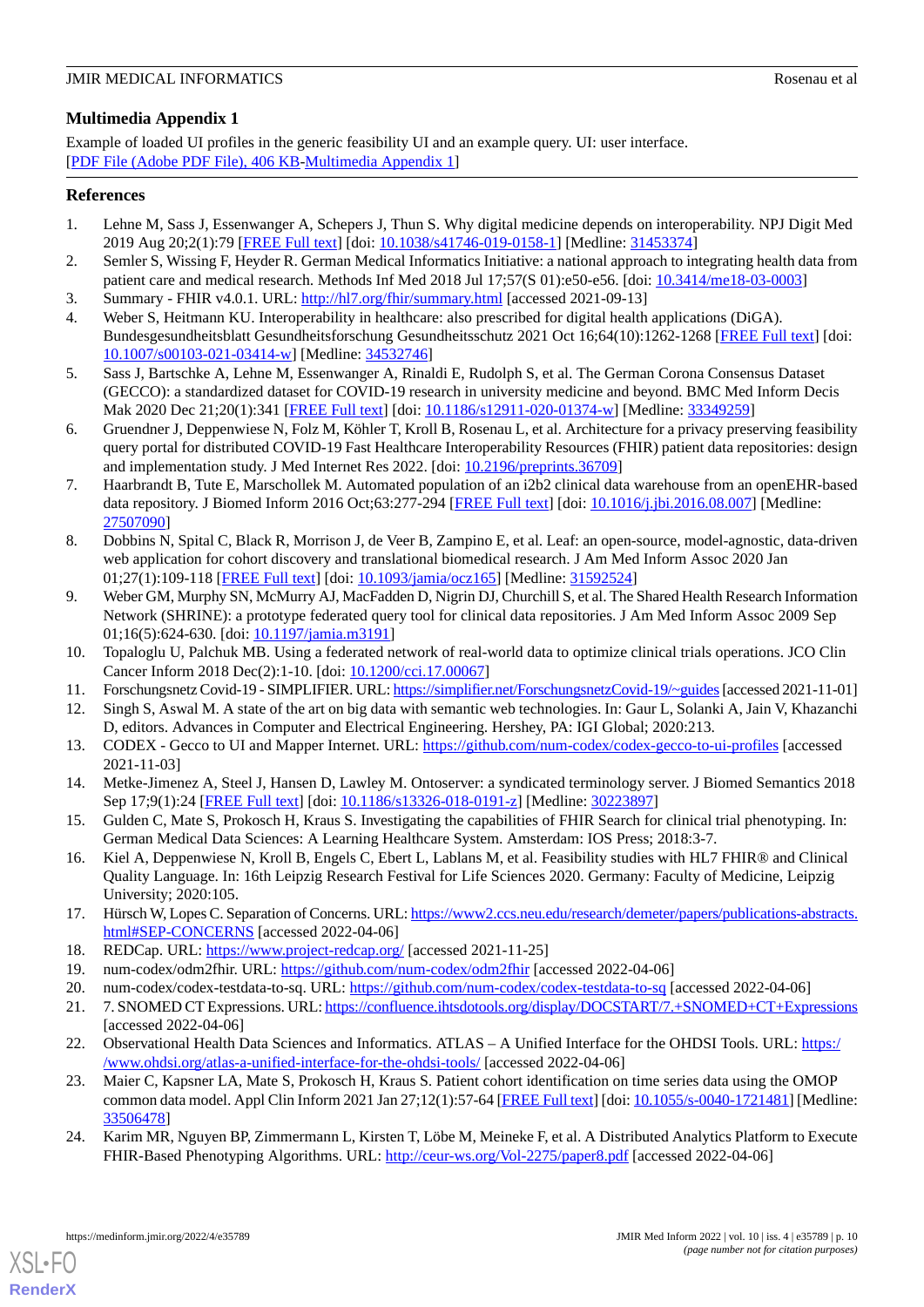# **JMIR MEDICAL INFORMATICS** Rosenau et al. **Rosenau et al. Rosenau et al. Rosenau et al. Rosenau et al. Rosenau et al. Rosenau et al. Rosenau et al. Rosenau et al. Rosenau et al. Rosenau et al. Rosenau e**

# <span id="page-9-16"></span>**Multimedia Appendix 1**

Example of loaded UI profiles in the generic feasibility UI and an example query. UI: user interface. [[PDF File \(Adobe PDF File\), 406 KB](https://jmir.org/api/download?alt_name=medinform_v10i4e35789_app1.pdf&filename=89e302117ecbdc07994a50f70f58c52b.pdf)-[Multimedia Appendix 1\]](https://jmir.org/api/download?alt_name=medinform_v10i4e35789_app1.pdf&filename=89e302117ecbdc07994a50f70f58c52b.pdf)

# <span id="page-9-0"></span>**References**

- <span id="page-9-1"></span>1. Lehne M, Sass J, Essenwanger A, Schepers J, Thun S. Why digital medicine depends on interoperability. NPJ Digit Med 2019 Aug 20;2(1):79 [[FREE Full text](https://doi.org/10.1038/s41746-019-0158-1)] [doi: [10.1038/s41746-019-0158-1\]](http://dx.doi.org/10.1038/s41746-019-0158-1) [Medline: [31453374](http://www.ncbi.nlm.nih.gov/entrez/query.fcgi?cmd=Retrieve&db=PubMed&list_uids=31453374&dopt=Abstract)]
- <span id="page-9-2"></span>2. Semler S, Wissing F, Heyder R. German Medical Informatics Initiative: a national approach to integrating health data from patient care and medical research. Methods Inf Med 2018 Jul 17;57(S 01):e50-e56. [doi: [10.3414/me18-03-0003](http://dx.doi.org/10.3414/me18-03-0003)]
- <span id="page-9-3"></span>3. Summary - FHIR v4.0.1. URL:<http://hl7.org/fhir/summary.html> [accessed 2021-09-13]
- <span id="page-9-4"></span>4. Weber S, Heitmann KU. Interoperability in healthcare: also prescribed for digital health applications (DiGA). Bundesgesundheitsblatt Gesundheitsforschung Gesundheitsschutz 2021 Oct 16;64(10):1262-1268 [\[FREE Full text\]](http://europepmc.org/abstract/MED/34532746) [doi: [10.1007/s00103-021-03414-w\]](http://dx.doi.org/10.1007/s00103-021-03414-w) [Medline: [34532746\]](http://www.ncbi.nlm.nih.gov/entrez/query.fcgi?cmd=Retrieve&db=PubMed&list_uids=34532746&dopt=Abstract)
- <span id="page-9-5"></span>5. Sass J, Bartschke A, Lehne M, Essenwanger A, Rinaldi E, Rudolph S, et al. The German Corona Consensus Dataset (GECCO): a standardized dataset for COVID-19 research in university medicine and beyond. BMC Med Inform Decis Mak 2020 Dec 21;20(1):341 [\[FREE Full text\]](https://bmcmedinformdecismak.biomedcentral.com/articles/10.1186/s12911-020-01374-w) [doi: [10.1186/s12911-020-01374-w\]](http://dx.doi.org/10.1186/s12911-020-01374-w) [Medline: [33349259](http://www.ncbi.nlm.nih.gov/entrez/query.fcgi?cmd=Retrieve&db=PubMed&list_uids=33349259&dopt=Abstract)]
- <span id="page-9-6"></span>6. Gruendner J, Deppenwiese N, Folz M, Köhler T, Kroll B, Rosenau L, et al. Architecture for a privacy preserving feasibility query portal for distributed COVID-19 Fast Healthcare Interoperability Resources (FHIR) patient data repositories: design and implementation study. J Med Internet Res 2022. [doi: [10.2196/preprints.36709\]](http://dx.doi.org/10.2196/preprints.36709)
- <span id="page-9-7"></span>7. Haarbrandt B, Tute E, Marschollek M. Automated population of an i2b2 clinical data warehouse from an openEHR-based data repository. J Biomed Inform 2016 Oct;63:277-294 [\[FREE Full text\]](https://linkinghub.elsevier.com/retrieve/pii/S1532-0464(16)30084-3) [doi: [10.1016/j.jbi.2016.08.007](http://dx.doi.org/10.1016/j.jbi.2016.08.007)] [Medline: [27507090](http://www.ncbi.nlm.nih.gov/entrez/query.fcgi?cmd=Retrieve&db=PubMed&list_uids=27507090&dopt=Abstract)]
- <span id="page-9-21"></span>8. Dobbins N, Spital C, Black R, Morrison J, de Veer B, Zampino E, et al. Leaf: an open-source, model-agnostic, data-driven web application for cohort discovery and translational biomedical research. J Am Med Inform Assoc 2020 Jan 01;27(1):109-118 [[FREE Full text](http://europepmc.org/abstract/MED/31592524)] [doi: [10.1093/jamia/ocz165\]](http://dx.doi.org/10.1093/jamia/ocz165) [Medline: [31592524\]](http://www.ncbi.nlm.nih.gov/entrez/query.fcgi?cmd=Retrieve&db=PubMed&list_uids=31592524&dopt=Abstract)
- <span id="page-9-9"></span><span id="page-9-8"></span>9. Weber GM, Murphy SN, McMurry AJ, MacFadden D, Nigrin DJ, Churchill S, et al. The Shared Health Research Information Network (SHRINE): a prototype federated query tool for clinical data repositories. J Am Med Inform Assoc 2009 Sep 01;16(5):624-630. [doi: [10.1197/jamia.m3191](http://dx.doi.org/10.1197/jamia.m3191)]
- <span id="page-9-10"></span>10. Topaloglu U, Palchuk MB. Using a federated network of real-world data to optimize clinical trials operations. JCO Clin Cancer Inform 2018 Dec(2):1-10. [doi: [10.1200/cci.17.00067](http://dx.doi.org/10.1200/cci.17.00067)]
- <span id="page-9-11"></span>11. Forschungsnetz Covid-19 - SIMPLIFIER. URL:<https://simplifier.net/ForschungsnetzCovid-19/~guides> [accessed 2021-11-01]
- <span id="page-9-12"></span>12. Singh S, Aswal M. A state of the art on big data with semantic web technologies. In: Gaur L, Solanki A, Jain V, Khazanchi D, editors. Advances in Computer and Electrical Engineering. Hershey, PA: IGI Global; 2020:213.
- <span id="page-9-13"></span>13. CODEX - Gecco to UI and Mapper Internet. URL: <https://github.com/num-codex/codex-gecco-to-ui-profiles> [accessed 2021-11-03]
- <span id="page-9-14"></span>14. Metke-Jimenez A, Steel J, Hansen D, Lawley M. Ontoserver: a syndicated terminology server. J Biomed Semantics 2018 Sep 17;9(1):24 [\[FREE Full text](https://jbiomedsem.biomedcentral.com/track/pdf/10.1186/s13326-018-0191-z.pdf)] [doi: [10.1186/s13326-018-0191-z](http://dx.doi.org/10.1186/s13326-018-0191-z)] [Medline: [30223897](http://www.ncbi.nlm.nih.gov/entrez/query.fcgi?cmd=Retrieve&db=PubMed&list_uids=30223897&dopt=Abstract)]
- <span id="page-9-15"></span>15. Gulden C, Mate S, Prokosch H, Kraus S. Investigating the capabilities of FHIR Search for clinical trial phenotyping. In: German Medical Data Sciences: A Learning Healthcare System. Amsterdam: IOS Press; 2018:3-7.
- <span id="page-9-18"></span><span id="page-9-17"></span>16. Kiel A, Deppenwiese N, Kroll B, Engels C, Ebert L, Lablans M, et al. Feasibility studies with HL7 FHIR® and Clinical Quality Language. In: 16th Leipzig Research Festival for Life Sciences 2020. Germany: Faculty of Medicine, Leipzig University; 2020:105.
- <span id="page-9-20"></span><span id="page-9-19"></span>17. Hürsch W, Lopes C. Separation of Concerns. URL: [https://www2.ccs.neu.edu/research/demeter/papers/publications-abstracts.](https://www2.ccs.neu.edu/research/demeter/papers/publications-abstracts.html#SEP-CONCERNS) [html#SEP-CONCERNS](https://www2.ccs.neu.edu/research/demeter/papers/publications-abstracts.html#SEP-CONCERNS) [accessed 2022-04-06]
- <span id="page-9-22"></span>18. REDCap. URL: <https://www.project-redcap.org/> [accessed 2021-11-25]
- <span id="page-9-23"></span>19. num-codex/odm2fhir. URL:<https://github.com/num-codex/odm2fhir> [accessed 2022-04-06]
- 20. num-codex/codex-testdata-to-sq. URL:<https://github.com/num-codex/codex-testdata-to-sq> [accessed 2022-04-06]
- 21. 7. SNOMED CT Expressions. URL:<https://confluence.ihtsdotools.org/display/DOCSTART/7.+SNOMED+CT+Expressions> [accessed 2022-04-06]
- <span id="page-9-24"></span>22. Observational Health Data Sciences and Informatics. ATLAS – A Unified Interface for the OHDSI Tools. URL: [https:/](https://www.ohdsi.org/atlas-a-unified-interface-for-the-ohdsi-tools/) [/www.ohdsi.org/atlas-a-unified-interface-for-the-ohdsi-tools/](https://www.ohdsi.org/atlas-a-unified-interface-for-the-ohdsi-tools/) [accessed 2022-04-06]
- 23. Maier C, Kapsner LA, Mate S, Prokosch H, Kraus S. Patient cohort identification on time series data using the OMOP common data model. Appl Clin Inform 2021 Jan 27;12(1):57-64 [[FREE Full text](http://europepmc.org/abstract/MED/33506478)] [doi: [10.1055/s-0040-1721481](http://dx.doi.org/10.1055/s-0040-1721481)] [Medline: [33506478](http://www.ncbi.nlm.nih.gov/entrez/query.fcgi?cmd=Retrieve&db=PubMed&list_uids=33506478&dopt=Abstract)]
- 24. Karim MR, Nguyen BP, Zimmermann L, Kirsten T, Löbe M, Meineke F, et al. A Distributed Analytics Platform to Execute FHIR-Based Phenotyping Algorithms. URL:<http://ceur-ws.org/Vol-2275/paper8.pdf> [accessed 2022-04-06]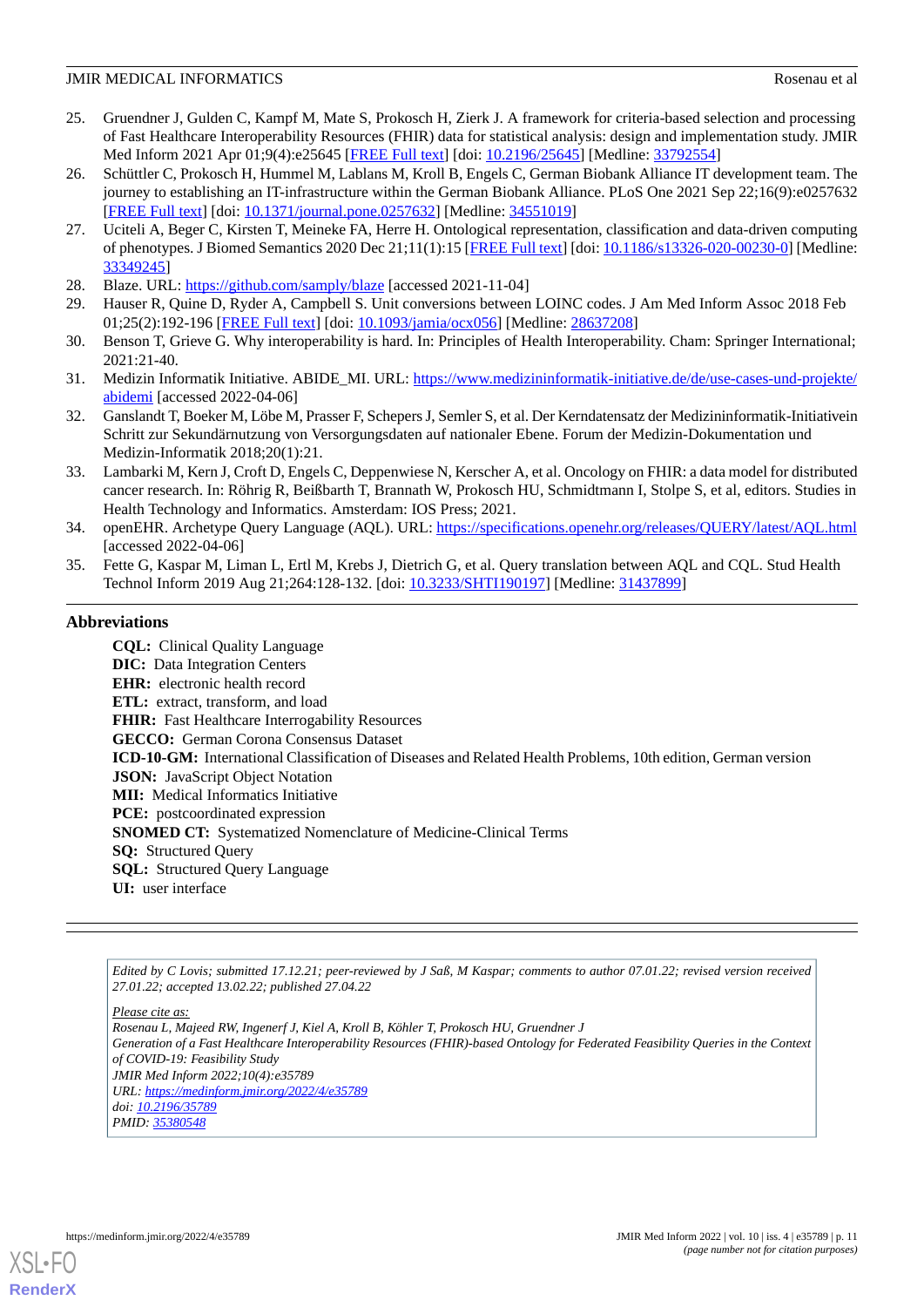#### **JMIR MEDICAL INFORMATICS** Rosenau et al. **Rosenau et al. Rosenau et al. Rosenau et al. Rosenau et al. Rosenau et al. Rosenau et al. Rosenau et al. Rosenau et al. Rosenau et al. Rosenau et al. Rosenau e**

- <span id="page-10-0"></span>25. Gruendner J, Gulden C, Kampf M, Mate S, Prokosch H, Zierk J. A framework for criteria-based selection and processing of Fast Healthcare Interoperability Resources (FHIR) data for statistical analysis: design and implementation study. JMIR Med Inform 2021 Apr 01;9(4):e25645 [[FREE Full text](https://medinform.jmir.org/2021/4/e25645/)] [doi: [10.2196/25645\]](http://dx.doi.org/10.2196/25645) [Medline: [33792554](http://www.ncbi.nlm.nih.gov/entrez/query.fcgi?cmd=Retrieve&db=PubMed&list_uids=33792554&dopt=Abstract)]
- <span id="page-10-1"></span>26. Schüttler C, Prokosch H, Hummel M, Lablans M, Kroll B, Engels C, German Biobank Alliance IT development team. The journey to establishing an IT-infrastructure within the German Biobank Alliance. PLoS One 2021 Sep 22;16(9):e0257632 [[FREE Full text](https://dx.plos.org/10.1371/journal.pone.0257632)] [doi: [10.1371/journal.pone.0257632](http://dx.doi.org/10.1371/journal.pone.0257632)] [Medline: [34551019](http://www.ncbi.nlm.nih.gov/entrez/query.fcgi?cmd=Retrieve&db=PubMed&list_uids=34551019&dopt=Abstract)]
- <span id="page-10-2"></span>27. Uciteli A, Beger C, Kirsten T, Meineke FA, Herre H. Ontological representation, classification and data-driven computing of phenotypes. J Biomed Semantics 2020 Dec 21;11(1):15 [[FREE Full text](https://jbiomedsem.biomedcentral.com/articles/10.1186/s13326-020-00230-0)] [doi: [10.1186/s13326-020-00230-0\]](http://dx.doi.org/10.1186/s13326-020-00230-0) [Medline: [33349245](http://www.ncbi.nlm.nih.gov/entrez/query.fcgi?cmd=Retrieve&db=PubMed&list_uids=33349245&dopt=Abstract)]
- <span id="page-10-4"></span><span id="page-10-3"></span>28. Blaze. URL: <https://github.com/samply/blaze> [accessed 2021-11-04]
- <span id="page-10-5"></span>29. Hauser R, Quine D, Ryder A, Campbell S. Unit conversions between LOINC codes. J Am Med Inform Assoc 2018 Feb 01;25(2):192-196 [[FREE Full text](http://europepmc.org/abstract/MED/28637208)] [doi: [10.1093/jamia/ocx056](http://dx.doi.org/10.1093/jamia/ocx056)] [Medline: [28637208](http://www.ncbi.nlm.nih.gov/entrez/query.fcgi?cmd=Retrieve&db=PubMed&list_uids=28637208&dopt=Abstract)]
- <span id="page-10-6"></span>30. Benson T, Grieve G. Why interoperability is hard. In: Principles of Health Interoperability. Cham: Springer International; 2021:21-40.
- <span id="page-10-7"></span>31. Medizin Informatik Initiative. ABIDE\_MI. URL: [https://www.medizininformatik-initiative.de/de/use-cases-und-projekte/](https://www.medizininformatik-initiative.de/de/use-cases-und-projekte/abidemi) [abidemi](https://www.medizininformatik-initiative.de/de/use-cases-und-projekte/abidemi) [accessed 2022-04-06]
- <span id="page-10-8"></span>32. Ganslandt T, Boeker M, Löbe M, Prasser F, Schepers J, Semler S, et al. Der Kerndatensatz der Medizininformatik-Initiativein Schritt zur Sekundärnutzung von Versorgungsdaten auf nationaler Ebene. Forum der Medizin-Dokumentation und Medizin-Informatik 2018;20(1):21.
- <span id="page-10-9"></span>33. Lambarki M, Kern J, Croft D, Engels C, Deppenwiese N, Kerscher A, et al. Oncology on FHIR: a data model for distributed cancer research. In: Röhrig R, Beißbarth T, Brannath W, Prokosch HU, Schmidtmann I, Stolpe S, et al, editors. Studies in Health Technology and Informatics. Amsterdam: IOS Press; 2021.
- <span id="page-10-10"></span>34. openEHR. Archetype Query Language (AQL). URL: <https://specifications.openehr.org/releases/QUERY/latest/AQL.html> [accessed 2022-04-06]
- 35. Fette G, Kaspar M, Liman L, Ertl M, Krebs J, Dietrich G, et al. Query translation between AQL and CQL. Stud Health Technol Inform 2019 Aug 21;264:128-132. [doi: [10.3233/SHTI190197](http://dx.doi.org/10.3233/SHTI190197)] [Medline: [31437899](http://www.ncbi.nlm.nih.gov/entrez/query.fcgi?cmd=Retrieve&db=PubMed&list_uids=31437899&dopt=Abstract)]

# **Abbreviations**

**CQL:** Clinical Quality Language **DIC:** Data Integration Centers **EHR:** electronic health record **ETL:** extract, transform, and load FHIR: Fast Healthcare Interrogability Resources **GECCO:** German Corona Consensus Dataset **ICD-10-GM:** International Classification of Diseases and Related Health Problems, 10th edition, German version **JSON:** JavaScript Object Notation **MII:** Medical Informatics Initiative **PCE:** postcoordinated expression **SNOMED CT:** Systematized Nomenclature of Medicine-Clinical Terms **SQ:** Structured Query **SQL:** Structured Query Language **UI:** user interface

*Edited by C Lovis; submitted 17.12.21; peer-reviewed by J Saß, M Kaspar; comments to author 07.01.22; revised version received 27.01.22; accepted 13.02.22; published 27.04.22*

*Please cite as:*

*Rosenau L, Majeed RW, Ingenerf J, Kiel A, Kroll B, Köhler T, Prokosch HU, Gruendner J Generation of a Fast Healthcare Interoperability Resources (FHIR)-based Ontology for Federated Feasibility Queries in the Context of COVID-19: Feasibility Study JMIR Med Inform 2022;10(4):e35789 URL: <https://medinform.jmir.org/2022/4/e35789> doi: [10.2196/35789](http://dx.doi.org/10.2196/35789) PMID: [35380548](http://www.ncbi.nlm.nih.gov/entrez/query.fcgi?cmd=Retrieve&db=PubMed&list_uids=35380548&dopt=Abstract)*